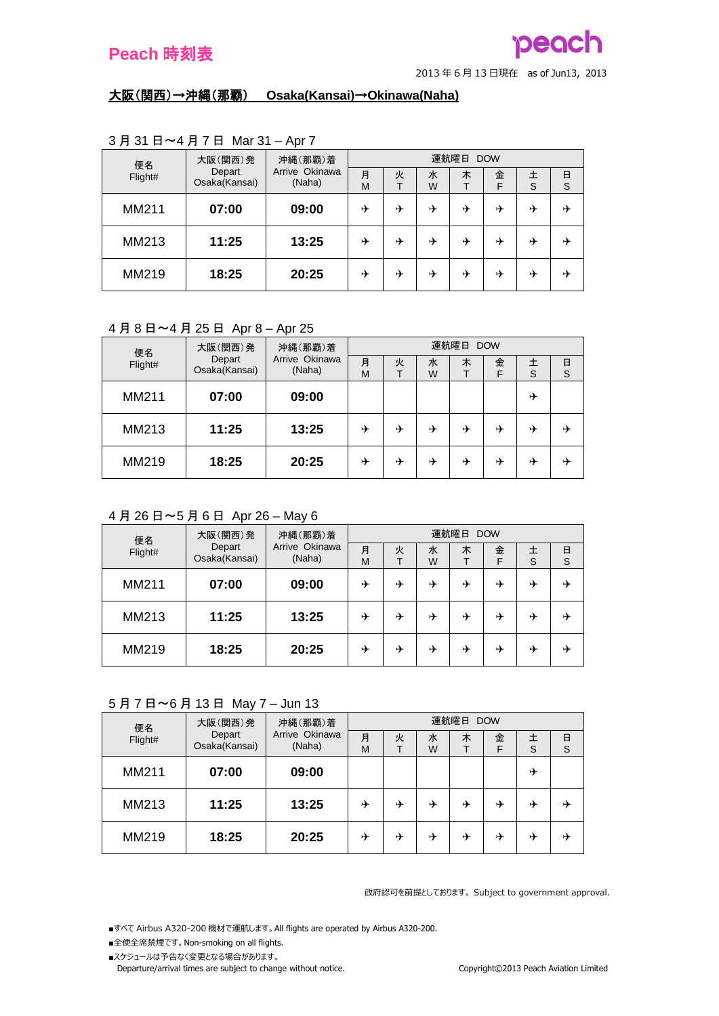

<sup>2013</sup> <sup>年</sup> <sup>6</sup> <sup>月</sup> <sup>13</sup> 日現在 as of Jun13, <sup>2013</sup>

### 大阪(関西)→沖縄(那覇) **Osaka(Kansai)**→**Okinawa(Naha)**

| 便名      | 大阪(関西)発                 | 沖縄(那覇)着                  | 運航曜日<br><b>DOW</b> |   |        |   |        |   |        |  |
|---------|-------------------------|--------------------------|--------------------|---|--------|---|--------|---|--------|--|
| Flight# | Depart<br>Osaka(Kansai) | Arrive Okinawa<br>(Naha) | 月<br>M             | 火 | 水<br>W | 木 | 金<br>F | S | 日<br>S |  |
|         |                         |                          |                    |   |        |   |        |   |        |  |
| MM211   | 07:00                   | 09:00                    | ⊬                  | ⊁ | →      | ⊁ | ⊁      | ⊁ | ⊬      |  |
| MM213   | 11:25                   | 13:25                    | ⊁                  | → | ⊁      | ⊁ | ⊁      | ⊁ | 屮      |  |
| MM219   | 18:25                   | 20:25                    | ⊬                  | → | ⊁      | ⊁ | ⊁      | ⊁ | →      |  |

## 3 月 31 日~4 月 7 日 Mar 31 – Apr 7

## 4 月 8 日~4 月 25 日 Apr 8 – Apr 25

| 便名      | 大阪(関西)発                 | 沖縄(那覇)着                  | 運航曜日 DOW |   |        |   |        |   |        |  |
|---------|-------------------------|--------------------------|----------|---|--------|---|--------|---|--------|--|
| Flight# | Depart<br>Osaka(Kansai) | Arrive Okinawa<br>(Naha) | 月<br>M   | 火 | 水<br>W | 木 | 金<br>F | S | 日<br>S |  |
| MM211   | 07:00                   | 09:00                    |          |   |        |   |        | ⊁ |        |  |
| MM213   | 11:25                   | 13:25                    | ⊁        | ⊁ | ⊁      | ⊁ | ⊁      | ⊁ | ⊬      |  |
| MM219   | 18:25                   | 20:25                    | ⊁        | ⊁ | ⊁      | ⊁ | ⊁      | D | ⊬      |  |

## 4 月 26 日~5 月 6 日 Apr 26 – May 6

|         | 大阪(関西)発<br>便名<br>Depart | 沖縄(那覇)着                  | 運航曜日<br><b>DOW</b> |   |        |   |        |   |        |
|---------|-------------------------|--------------------------|--------------------|---|--------|---|--------|---|--------|
| Flight# | Osaka(Kansai)           | Arrive Okinawa<br>(Naha) | 月<br>M             | 火 | 水<br>W | 木 | 金<br>F | S | 日<br>S |
| MM211   | 07:00                   | 09:00                    | ⊁                  | → | ⊁      | ⊁ | ⊁      | ⊁ | 丹      |
| MM213   | 11:25                   | 13:25                    | ⊁                  | → | ⊁      | ⊁ | ⊁      | ⊁ | ⊁      |
| MM219   | 18:25                   | 20:25                    | ⊁                  | ⊁ | ⊁      | ⊁ | ⊁      | ⊁ | ⊁      |

## 5 月 7 日~6 月 13 日 May 7 – Jun 13

| 便名      | 大阪(関西)発                 | 沖縄(那覇)着                  | 運航曜日 DOW |   |        |   |        |   |        |  |
|---------|-------------------------|--------------------------|----------|---|--------|---|--------|---|--------|--|
| Flight# | Depart<br>Osaka(Kansai) | Arrive Okinawa<br>(Naha) | 月<br>M   | 火 | 水<br>W | 木 | 金<br>F | S | 日<br>S |  |
| MM211   | 07:00                   | 09:00                    |          |   |        |   |        | ⊁ |        |  |
| MM213   | 11:25                   | 13:25                    | ⊁        | ⊁ | ⊁      | ⊁ | ⊁      | ⊁ | ⊁      |  |
| MM219   | 18:25                   | 20:25                    | ⊁        | ⊁ | ⊁      | ⊁ | ⊁      | ⊁ | D      |  |

政府認可を前提としております。 Subject to government approval.

■すべて Airbus A320-200 機材で運航します。 All flights are operated by Airbus A320-200.

- ■全便全席禁煙です。 Non-smoking on all flights.
- ■スケジュールは予告なく変更となる場合があります。

Departure/arrival times are subject to change without notice. Copyright©2013 Peach Aviation Limited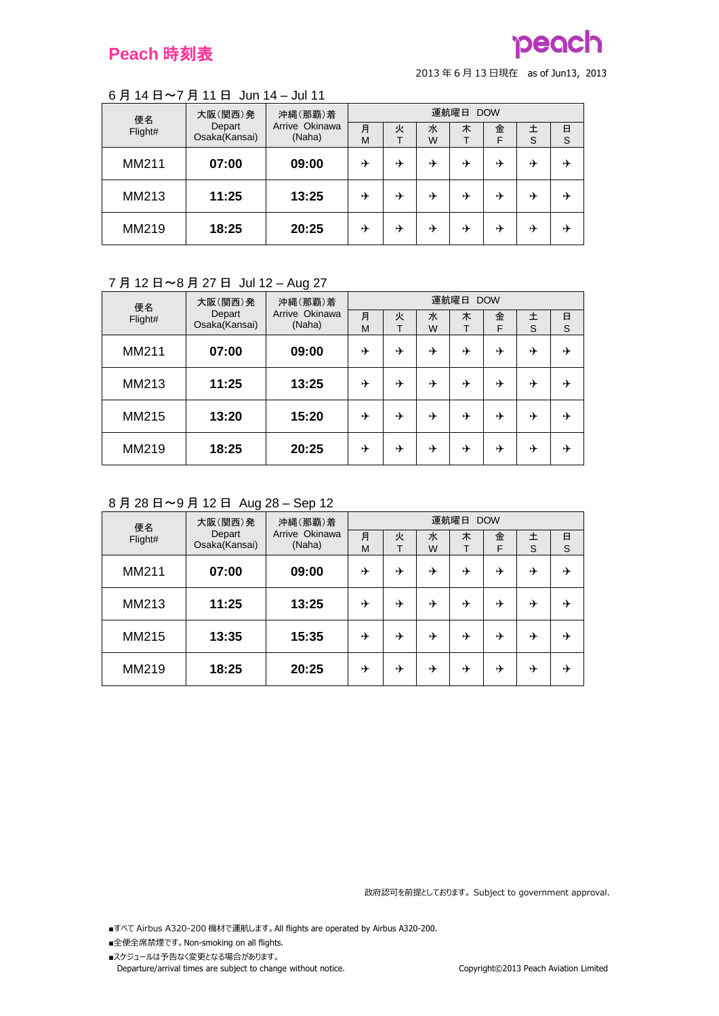# peach

<sup>2013</sup> <sup>年</sup> <sup>6</sup> <sup>月</sup> <sup>13</sup> 日現在 as of Jun13, <sup>2013</sup>

# 6 月 14 日~7 月 11 日 Jun 14 – Jul 11

| 便名      | 大阪(関西)発                 | 沖縄(那覇)着                  |        |   |        | 運航曜日 | <b>DOW</b> |   |        |
|---------|-------------------------|--------------------------|--------|---|--------|------|------------|---|--------|
| Flight# | Depart<br>Osaka(Kansai) | Arrive Okinawa<br>(Naha) | 月<br>M | 火 | 水<br>W | 木    | 金<br>F     | S | 日<br>S |
| MM211   | 07:00                   | 09:00                    | ⊁      | → | ⊁      | ⊁    | D          | ⊁ | ⊬      |
| MM213   | 11:25                   | 13:25                    | ⊁      | ⊁ | ⊁      | ⊁    | ⊁          | ⊁ | ⊁      |
| MM219   | 18:25                   | 20:25                    | ⊬      | → | ⊁      | ⊁    | ⊁          | ⊁ | ⊁      |

## 7 月 12 日~8 月 27 日 Jul 12 – Aug 27

| 便名      | 大阪(関西)発                 | 沖縄(那覇)着                  | 運航曜日 DOW |        |        |        |        |        |        |  |
|---------|-------------------------|--------------------------|----------|--------|--------|--------|--------|--------|--------|--|
| Flight# | Depart<br>Osaka(Kansai) | Arrive Okinawa<br>(Naha) | 月<br>M   | 火<br>т | 水<br>W | 木<br>т | 金<br>F | 土<br>S | 日<br>S |  |
| MM211   | 07:00                   | 09:00                    | ⊁        | ⊁      | ⊁      | ⊁      | ⊁      | ⊁      | ⊁      |  |
| MM213   | 11:25                   | 13:25                    | ⊁        | ⊁      | ⊁      | ⊁      | ⊁      | ⊁      | ⊁      |  |
| MM215   | 13:20                   | 15:20                    | ⊁        | ⊁      | ⊁      | ⊁      | ⊁      | ⊁      | ⊁      |  |
| MM219   | 18:25                   | 20:25                    | ⊁        | ⊁      | ⊁      | ⊁      | ⊁      | ⊁      | ⊁      |  |

## 8 月 28 日~9 月 12 日 Aug 28 – Sep 12

| 便名      | 大阪(関西)発                 | 沖縄(那覇)着                  |        |        |        | 運航曜日 | <b>DOW</b> |        |               |
|---------|-------------------------|--------------------------|--------|--------|--------|------|------------|--------|---------------|
| Flight# | Depart<br>Osaka(Kansai) | Arrive Okinawa<br>(Naha) | 月<br>M | 火<br>T | 水<br>W | 木    | 金<br>F     | 土<br>S | $\frac{E}{S}$ |
| MM211   | 07:00                   | 09:00                    | ⊁      | ⊁      | ⊁      | ⊁    | ⊁          | ⊁      | ⊁             |
| MM213   | 11:25                   | 13:25                    | ⊁      | ⊁      | ⊁      | ⊁    | ⊁          | ⊁      | ⊁             |
| MM215   | 13:35                   | 15:35                    | ⊁      | ⊬      | ⊁      | ⊁    | ⊁          | ⊁      | ⊁             |
| MM219   | 18:25                   | 20:25                    | ⊁      | ⊬      | ⊁      | ⊁    | ⊁          | ⊁      | ⊁             |

政府認可を前提としております。 Subject to government approval.

- ■全便全席禁煙です。 Non-smoking on all flights.
- ■スケジュールは予告なく変更となる場合があります。 Departure/arrival times are subject to change without notice. Copyright©2013 Peach Aviation Limited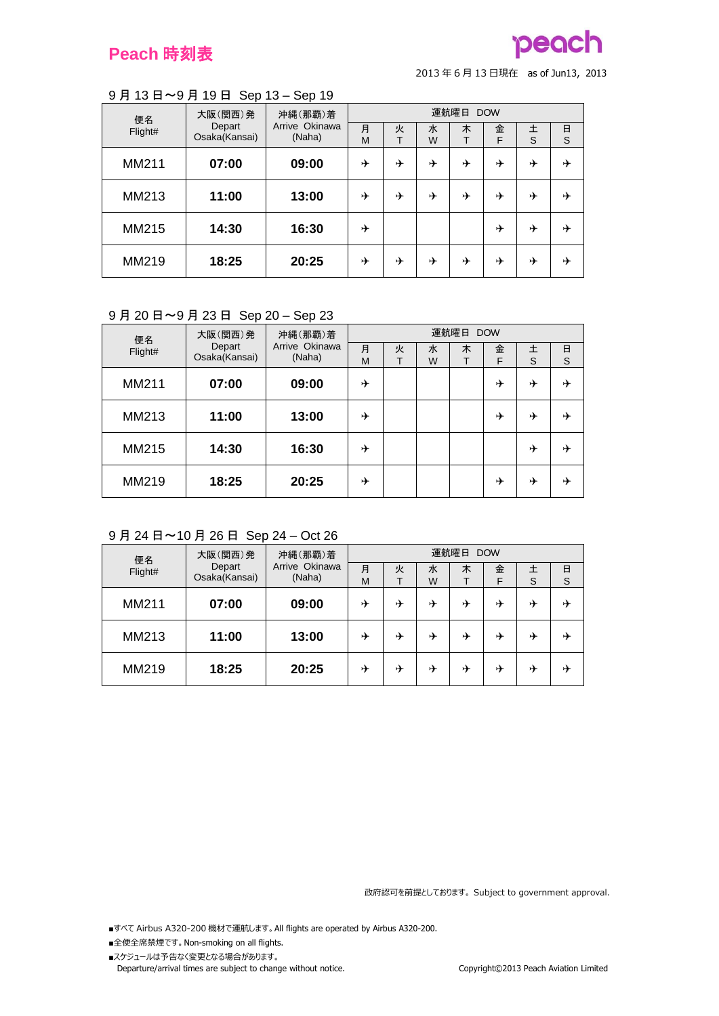## **Peach** 時刻表

## **pego**

<sup>2013</sup> <sup>年</sup> <sup>6</sup> <sup>月</sup> <sup>13</sup> 日現在 as of Jun13, <sup>2013</sup>

#### 9 月 13 日~9 月 19 日 Sep 13 – Sep 19

| 便名      | 大阪(関西)発                 | 沖縄(那覇)着                  |        |        |        | 運航曜日 | <b>DOW</b> |        |        |
|---------|-------------------------|--------------------------|--------|--------|--------|------|------------|--------|--------|
| Flight# | Depart<br>Osaka(Kansai) | Arrive Okinawa<br>(Naha) | 月<br>M | 火<br>᠇ | 水<br>W | 木    | 金<br>F     | 土<br>S | 日<br>S |
| MM211   | 07:00                   | 09:00                    | ⊁      | ⊁      | ⊁      | ⊁    | ⊁          | ⊁      | ⊁      |
| MM213   | 11:00                   | 13:00                    | ⊁      | ⊁      | ⊁      | ⊁    | ⊁          | ⊁      | ⊁      |
| MM215   | 14:30                   | 16:30                    | ⊁      |        |        |      | ⊁          | ⊁      | ⊁      |
| MM219   | 18:25                   | 20:25                    | ⊁      | ⊁      | ⊁      | ⊁    | ⊁          | ⊁      | ⊁      |

## 9 月 20 日~9 月 23 日 Sep 20 – Sep 23

| 便名      | . .<br>大阪(関西)発          | 沖縄(那覇)着                  |        |        |        | 運航曜日 DOW |        |        |        |
|---------|-------------------------|--------------------------|--------|--------|--------|----------|--------|--------|--------|
| Flight# | Depart<br>Osaka(Kansai) | Arrive Okinawa<br>(Naha) | 月<br>M | 火<br>᠇ | 水<br>W | 木        | 金<br>F | 土<br>S | 日<br>S |
| MM211   | 07:00                   | 09:00                    | ⊁      |        |        |          | ⊁      | ⊁      | ⊁      |
| MM213   | 11:00                   | 13:00                    | ⊁      |        |        |          | ⊁      | ⊁      | ⊁      |
| MM215   | 14:30                   | 16:30                    | ⊁      |        |        |          |        | ⊁      | ⊁      |
| MM219   | 18:25                   | 20:25                    | ⊁      |        |        |          | ⊁      | ⊁      | ⊁      |

## 9 月 24 日~10 月 26 日 Sep 24 – Oct 26

| 便名      | 大阪(関西)発                 | 沖縄(那覇)着                  | 運航曜日<br><b>DOW</b> |   |        |   |        |   |        |
|---------|-------------------------|--------------------------|--------------------|---|--------|---|--------|---|--------|
| Flight# | Depart<br>Osaka(Kansai) | Arrive Okinawa<br>(Naha) | 月<br>M             | 火 | 水<br>W | 木 | 金<br>F | S | 日<br>S |
| MM211   | 07:00                   | 09:00                    | ⊁                  | ⊁ | ⊁      | ⊁ | ⊁      | ⊁ | ⊁      |
| MM213   | 11:00                   | 13:00                    | ⊁                  | → | ⊁      | ⊁ | ⊁      | ⊁ | →      |
| MM219   | 18:25                   | 20:25                    | ⊁                  | ⊬ | ⊁      | ⊁ | ⊁      | ⊁ | ⊬      |

政府認可を前提としております。 Subject to government approval.

- ■全便全席禁煙です。 Non-smoking on all flights.
- ■スケジュールは予告なく変更となる場合があります。 Departure/arrival times are subject to change without notice. Copyright©2013 Peach Aviation Limited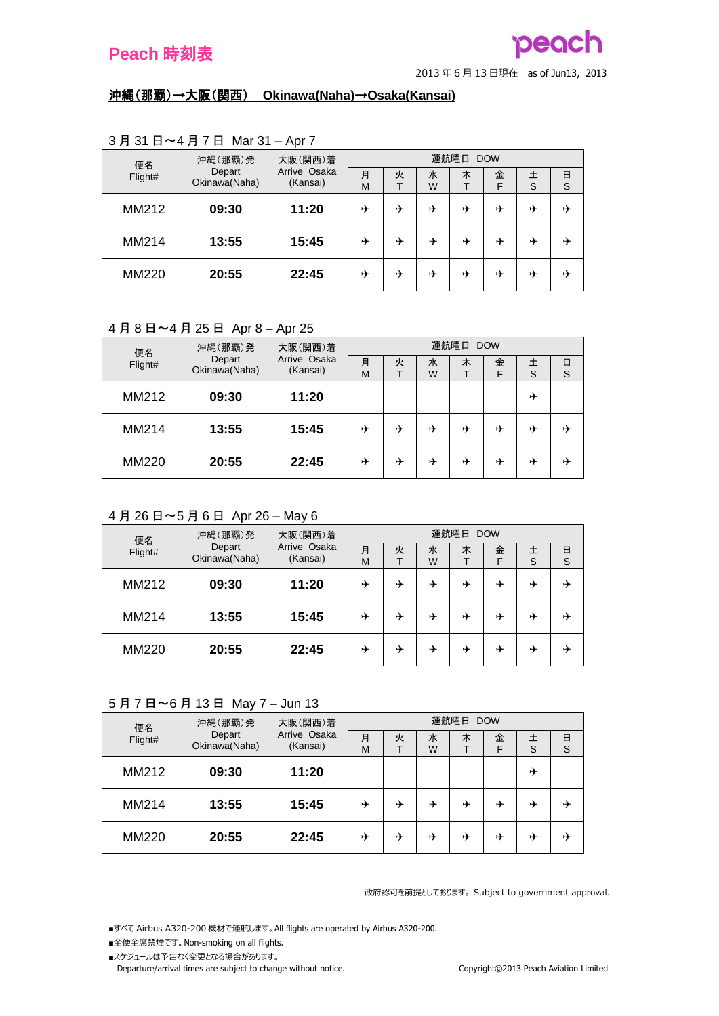#### <sup>2013</sup> <sup>年</sup> <sup>6</sup> <sup>月</sup> <sup>13</sup> 日現在 as of Jun13, <sup>2013</sup>

### 沖縄(那覇)→大阪(関西) **Okinawa(Naha)**→**Osaka(Kansai)**

| 便名           | 沖縄(那覇)発                 | 大阪(関西)着                  | 運航曜日<br><b>DOW</b> |   |        |   |        |        |        |  |
|--------------|-------------------------|--------------------------|--------------------|---|--------|---|--------|--------|--------|--|
| Flight#      | Depart<br>Okinawa(Naha) | Arrive Osaka<br>(Kansai) | 月<br>M             | 火 | 水<br>W | 木 | 金<br>F | 土<br>S | 日<br>S |  |
| MM212        | 09:30                   | 11:20                    | ⊁                  | ⊁ | ⊁      | ⊁ | ⊁      | ⊁      | 屮      |  |
| MM214        | 13:55                   | 15:45                    | ⊁                  | ⊁ | ⊁      | ⊁ | ⊁      | ⊁      |        |  |
| <b>MM220</b> | 20:55                   | 22:45                    | ⊁                  | ⊁ | ⊁      | ⊁ | ⊁      | ⊁      | 屮      |  |

## 3 月 31 日~4 月 7 日 Mar 31 – Apr 7

## 4 月 8 日~4 月 25 日 Apr 8 – Apr 25

| 便名           | 沖縄(那覇)発                 | 大阪(関西)着                  | 運航曜日 DOW |   |        |   |        |   |        |
|--------------|-------------------------|--------------------------|----------|---|--------|---|--------|---|--------|
| Flight#      | Depart<br>Okinawa(Naha) | Arrive Osaka<br>(Kansai) | 月<br>M   | 火 | 水<br>W | 木 | 金<br>F | S | 日<br>S |
| MM212        | 09:30                   | 11:20                    |          |   |        |   |        | ⊁ |        |
| MM214        | 13:55                   | 15:45                    | ⊁        | ⊁ | ⊁      | ⊁ | ⊁      | ⊁ | ⊁      |
| <b>MM220</b> | 20:55                   | 22:45                    | ⊁        | ⊁ | ⊁      | ⊁ | ⊁      | D | ⊬      |

## 4 月 26 日~5 月 6 日 Apr 26 – May 6

| 便名      | 沖縄(那覇)発                 | 大阪(関西)着                  | 運航曜日<br><b>DOW</b> |   |        |   |        |   |        |  |
|---------|-------------------------|--------------------------|--------------------|---|--------|---|--------|---|--------|--|
| Flight# | Depart<br>Okinawa(Naha) | Arrive Osaka<br>(Kansai) | 月<br>M             | 火 | 水<br>W | 木 | 金<br>F | S | 日<br>S |  |
| MM212   | 09:30                   | 11:20                    | ⊁                  | → | ⊁      | ⊁ | ⊁      | ⊁ | 丹      |  |
| MM214   | 13:55                   | 15:45                    | ⊁                  | → | ⊁      | ⊁ | ⊁      | ⊁ | 丹      |  |
| MM220   | 20:55                   | 22:45                    | ⊁                  | ⊁ | ⊁      | ⊁ | ⊁      | ⊁ | ⊁      |  |

## 5 月 7 日~6 月 13 日 May 7 – Jun 13

| 便名      | 沖縄(那覇)発                 | 大阪(関西)着                  | 運航曜日 DOW |   |        |   |        |   |        |  |
|---------|-------------------------|--------------------------|----------|---|--------|---|--------|---|--------|--|
| Flight# | Depart<br>Okinawa(Naha) | Arrive Osaka<br>(Kansai) | 月<br>M   | 火 | 水<br>W | 木 | 金<br>F | S | 日<br>S |  |
| MM212   | 09:30                   | 11:20                    |          |   |        |   |        | ⊁ |        |  |
| MM214   | 13:55                   | 15:45                    | ⊁        | ⊁ | ⊁      | ⊁ | ⊁      | ⊁ | ⊁      |  |
| MM220   | 20:55                   | 22:45                    | ⊁        | ⊁ | ⊁      | ⊁ | ⊁      | ⊁ | D      |  |

政府認可を前提としております。 Subject to government approval.

■すべて Airbus A320-200 機材で運航します。 All flights are operated by Airbus A320-200.

- ■全便全席禁煙です。 Non-smoking on all flights.
- ■スケジュールは予告なく変更となる場合があります。

Departure/arrival times are subject to change without notice. Copyright©2013 Peach Aviation Limited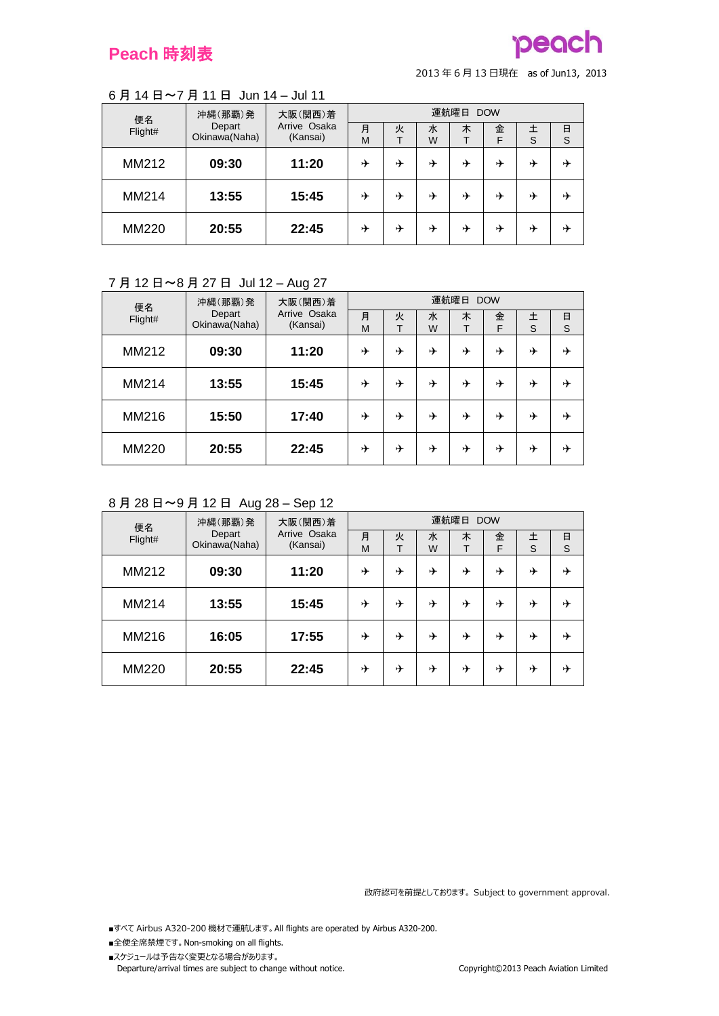# pegg

<sup>2013</sup> <sup>年</sup> <sup>6</sup> <sup>月</sup> <sup>13</sup> 日現在 as of Jun13, <sup>2013</sup>

### 6 月 14 日~7 月 11 日 Jun 14 – Jul 11

| 便名           | 沖縄(那覇)発                 | 大阪(関西)着                  | 運航曜日<br><b>DOW</b> |   |        |   |        |   |        |  |
|--------------|-------------------------|--------------------------|--------------------|---|--------|---|--------|---|--------|--|
| Flight#      | Depart<br>Okinawa(Naha) | Arrive Osaka<br>(Kansai) | 月<br>M             | 火 | 水<br>W | 木 | 金<br>F | S | 日<br>S |  |
| MM212        | 09:30                   | 11:20                    | ⊬                  | → | ⊁      | ⊁ | ⊁      | ⊁ | ⊁      |  |
| MM214        | 13:55                   | 15:45                    | ⊬                  | → | ⊁      | ⊁ | ⊁      | ⊁ | ⊬      |  |
| <b>MM220</b> | 20:55                   | 22:45                    | ⊁                  | → | ⊁      | ⊁ | ⊁      | ⊁ | ⊬      |  |

### 7 月 12 日~8 月 27 日 Jul 12 – Aug 27

| 便名           | 沖縄(那覇)発<br>Depart<br>Okinawa(Naha) | 大阪(関西)着<br>Arrive Osaka<br>(Kansai) | 運航曜日 DOW |        |        |   |        |        |             |  |
|--------------|------------------------------------|-------------------------------------|----------|--------|--------|---|--------|--------|-------------|--|
| Flight#      |                                    |                                     | 月<br>M   | 火<br>т | 水<br>W | 木 | 金<br>F | 土<br>S | $\Box$<br>S |  |
| MM212        | 09:30                              | 11:20                               | ⊁        | ⊁      | ⊁      | ⊁ | ⊁      | ⊁      | ⊁           |  |
| MM214        | 13:55                              | 15:45                               | ⊁        | ⊁      | ⊁      | ⊁ | ⊁      | ⊁      | ⊁           |  |
| MM216        | 15:50                              | 17:40                               | ⊁        | ⊁      | ⊁      | ⊁ | ⊁      | ⊁      | ⊁           |  |
| <b>MM220</b> | 20:55                              | 22:45                               | ⊁        | ⊁      | ⊁      | ⊁ | ⊁      | ⊁      | ⊁           |  |

### 8 月 28 日~9 月 12 日 Aug 28 – Sep 12

| 便名           | 沖縄(那覇)発<br>Depart<br>Okinawa(Naha) | 大阪(関西)着<br>Arrive Osaka<br>(Kansai) | 運航曜日 DOW |        |        |   |        |        |        |  |
|--------------|------------------------------------|-------------------------------------|----------|--------|--------|---|--------|--------|--------|--|
| Flight#      |                                    |                                     | 月<br>M   | 火<br>т | 水<br>W | 木 | 金<br>F | 土<br>S | 日<br>S |  |
| MM212        | 09:30                              | 11:20                               | ⊁        | ⊁      | ⊁      | ⊁ | ⊁      | ⊁      | ⊁      |  |
| MM214        | 13:55                              | 15:45                               | ⊁        | ⊁      | ⊁      | ⊁ | ⊁      | ⊁      | ⊁      |  |
| MM216        | 16:05                              | 17:55                               | ⊁        | ⊁      | ⊁      | ⊁ | ⊁      | ⊁      | ⊁      |  |
| <b>MM220</b> | 20:55                              | 22:45                               | ⊁        | ⊁      | ⊁      | ⊁ | ⊁      | ⊁      | ⊁      |  |

政府認可を前提としております。 Subject to government approval.

- ■全便全席禁煙です。 Non-smoking on all flights.
- ■スケジュールは予告なく変更となる場合があります。 Departure/arrival times are subject to change without notice. Copyright©2013 Peach Aviation Limited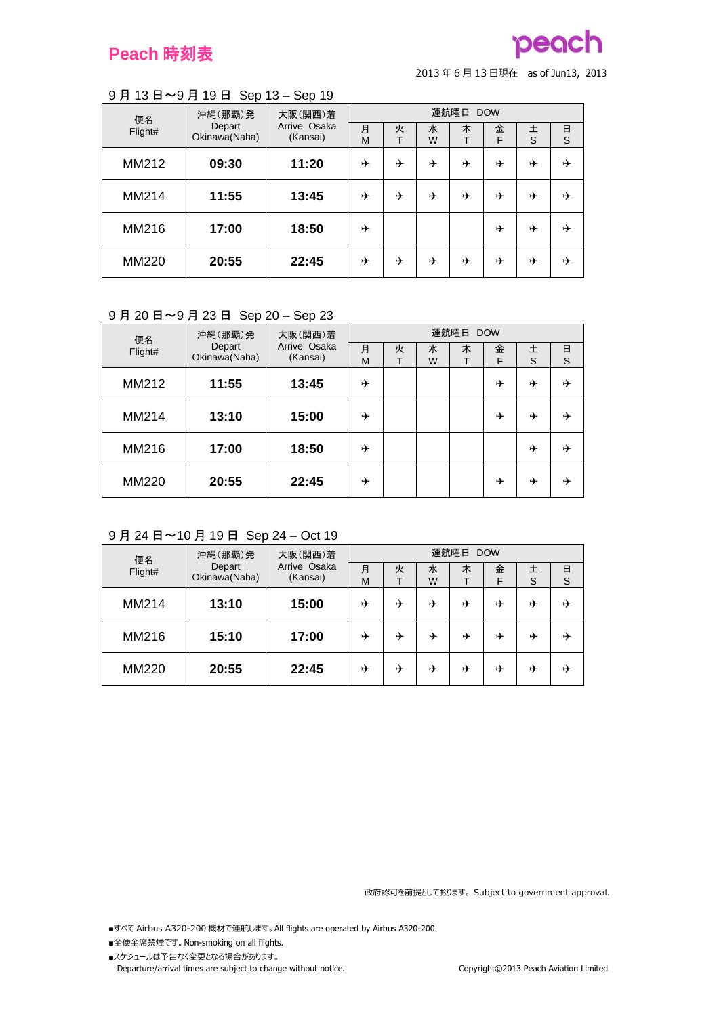## **Peach** 時刻表

## **pego**

<sup>2013</sup> <sup>年</sup> <sup>6</sup> <sup>月</sup> <sup>13</sup> 日現在 as of Jun13, <sup>2013</sup>

#### 9 月 13 日~9 月 19 日 Sep 13 – Sep 19

| 便名           | 沖縄(那覇)発<br>Depart<br>Okinawa(Naha) | 大阪(関西)着<br>Arrive Osaka<br>(Kansai) | 運航曜日 DOW |        |        |   |        |        |        |  |  |
|--------------|------------------------------------|-------------------------------------|----------|--------|--------|---|--------|--------|--------|--|--|
| Flight#      |                                    |                                     | 月<br>M   | 火<br>т | 水<br>W | 木 | 金<br>F | 土<br>S | 日<br>S |  |  |
| MM212        | 09:30                              | 11:20                               | ⊁        | ⊁      | ⊁      | ⊁ | ⊁      | ⊁      | ⊁      |  |  |
| MM214        | 11:55                              | 13:45                               | ⊁        | ⊁      | ⊁      | ⊁ | ⊁      | ⊁      | ⊁      |  |  |
| MM216        | 17:00                              | 18:50                               | ⊁        |        |        |   | ⊁      | ⊁      | ⊁      |  |  |
| <b>MM220</b> | 20:55                              | 22:45                               | ⊁        | ⊁      | ⊁      | ⊁ | ⊁      | ⊁      | ⊁      |  |  |

#### 9 月 20 日~9 月 23 日 Sep 20 – Sep 23

| 便名           | 沖縄(那覇)発<br>Depart<br>Okinawa(Naha) | 大阪(関西)着<br>Arrive Osaka<br>(Kansai) | 運航曜日 DOW |        |        |   |        |        |        |  |
|--------------|------------------------------------|-------------------------------------|----------|--------|--------|---|--------|--------|--------|--|
| Flight#      |                                    |                                     | 月<br>M   | 火<br>т | 水<br>W | 木 | 金<br>F | 土<br>S | 日<br>S |  |
| MM212        | 11:55                              | 13:45                               | ⊁        |        |        |   | ⊁      | ⊁      | ⊁      |  |
| MM214        | 13:10                              | 15:00                               | ⊁        |        |        |   | ⊁      | ⊁      | ⊁      |  |
| MM216        | 17:00                              | 18:50                               | ⊁        |        |        |   |        | ⊁      | ⊁      |  |
| <b>MM220</b> | 20:55                              | 22:45                               | ⊁        |        |        |   | ⊁      | ⊁      | ⊁      |  |

## 9 月 24 日~10 月 19 日 Sep 24 – Oct 19

| 便名           | 沖縄(那覇)発                 | 大阪(関西)着                  | 運航曜日<br><b>DOW</b> |   |        |   |        |   |        |  |
|--------------|-------------------------|--------------------------|--------------------|---|--------|---|--------|---|--------|--|
| Flight#      | Depart<br>Okinawa(Naha) | Arrive Osaka<br>(Kansai) | 月<br>M             | 火 | 水<br>W | 木 | 金<br>F | S | 日<br>S |  |
| MM214        | 13:10                   | 15:00                    | ⊁                  | ⊁ | ⊁      | ⊁ | ⊁      | ⊁ | ⊁      |  |
| MM216        | 15:10                   | 17:00                    | ⊁                  | → | ⊁      | ⊁ | ⊁      | ⊁ | →      |  |
| <b>MM220</b> | 20:55                   | 22:45                    | ⊁                  | ⊬ | ⊁      | ⊁ | D      | ⊁ | ⊬      |  |

政府認可を前提としております。 Subject to government approval.

- ■全便全席禁煙です。 Non-smoking on all flights.
- ■スケジュールは予告なく変更となる場合があります。 Departure/arrival times are subject to change without notice. Copyright©2013 Peach Aviation Limited